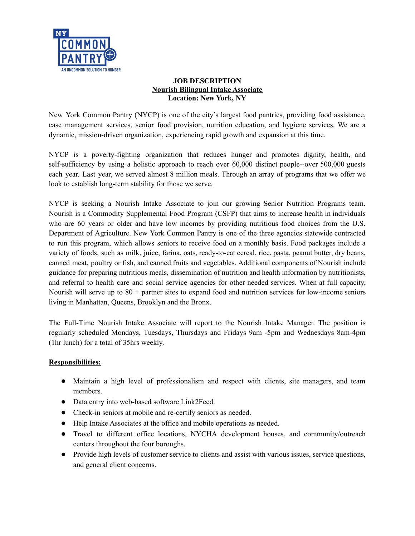

#### **JOB DESCRIPTION Nourish Bilingual Intake Associate Location: New York, NY**

New York Common Pantry (NYCP) is one of the city's largest food pantries, providing food assistance, case management services, senior food provision, nutrition education, and hygiene services. We are a dynamic, mission-driven organization, experiencing rapid growth and expansion at this time.

NYCP is a poverty-fighting organization that reduces hunger and promotes dignity, health, and self-sufficiency by using a holistic approach to reach over 60,000 distinct people--over 500,000 guests each year. Last year, we served almost 8 million meals. Through an array of programs that we offer we look to establish long-term stability for those we serve.

NYCP is seeking a Nourish Intake Associate to join our growing Senior Nutrition Programs team. Nourish is a Commodity Supplemental Food Program (CSFP) that aims to increase health in individuals who are 60 years or older and have low incomes by providing nutritious food choices from the U.S. Department of Agriculture. New York Common Pantry is one of the three agencies statewide contracted to run this program, which allows seniors to receive food on a monthly basis. Food packages include a variety of foods, such as milk, juice, farina, oats, ready-to-eat cereal, rice, pasta, peanut butter, dry beans, canned meat, poultry or fish, and canned fruits and vegetables. Additional components of Nourish include guidance for preparing nutritious meals, dissemination of nutrition and health information by nutritionists, and referral to health care and social service agencies for other needed services. When at full capacity, Nourish will serve up to  $80 +$  partner sites to expand food and nutrition services for low-income seniors living in Manhattan, Queens, Brooklyn and the Bronx.

The Full-Time Nourish Intake Associate will report to the Nourish Intake Manager. The position is regularly scheduled Mondays, Tuesdays, Thursdays and Fridays 9am -5pm and Wednesdays 8am-4pm (1hr lunch) for a total of 35hrs weekly.

# **Responsibilities:**

- Maintain a high level of professionalism and respect with clients, site managers, and team members.
- Data entry into web-based software Link2Feed.
- Check-in seniors at mobile and re-certify seniors as needed.
- Help Intake Associates at the office and mobile operations as needed.
- Travel to different office locations, NYCHA development houses, and community/outreach centers throughout the four boroughs.
- Provide high levels of customer service to clients and assist with various issues, service questions, and general client concerns.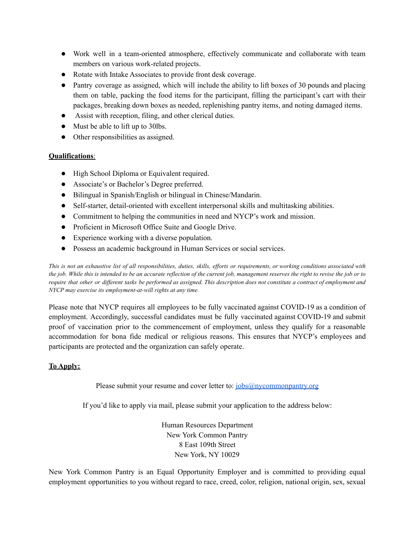- Work well in a team-oriented atmosphere, effectively communicate and collaborate with team members on various work-related projects.
- Rotate with Intake Associates to provide front desk coverage.
- Pantry coverage as assigned, which will include the ability to lift boxes of 30 pounds and placing them on table, packing the food items for the participant, filling the participant's cart with their packages, breaking down boxes as needed, replenishing pantry items, and noting damaged items.
- Assist with reception, filing, and other clerical duties.
- Must be able to lift up to 30lbs.
- Other responsibilities as assigned.

#### **Qualifications**:

- High School Diploma or Equivalent required.
- Associate's or Bachelor's Degree preferred.
- Bilingual in Spanish/English or bilingual in Chinese/Mandarin.
- Self-starter, detail-oriented with excellent interpersonal skills and multitasking abilities.
- Commitment to helping the communities in need and NYCP's work and mission.
- Proficient in Microsoft Office Suite and Google Drive.
- Experience working with a diverse population.
- Possess an academic background in Human Services or social services.

This is not an exhaustive list of all responsibilities, duties, skills, efforts or requirements, or working conditions associated with the job. While this is intended to be an accurate reflection of the current job, management reserves the right to revise the job or to require that other or different tasks be performed as assigned. This description does not constitute a contract of employment and *NYCP may exercise its employment-at-will rights at any time.*

Please note that NYCP requires all employees to be fully vaccinated against COVID-19 as a condition of employment. Accordingly, successful candidates must be fully vaccinated against COVID-19 and submit proof of vaccination prior to the commencement of employment, unless they qualify for a reasonable accommodation for bona fide medical or religious reasons. This ensures that NYCP's employees and participants are protected and the organization can safely operate.

### **To Apply:**

Please submit your resume and cover letter to: [jobs@nycommonpantry.org](mailto:jobs@nycommonpantry.org)

If you'd like to apply via mail, please submit your application to the address below:

Human Resources Department New York Common Pantry 8 East 109th Street New York, NY 10029

New York Common Pantry is an Equal Opportunity Employer and is committed to providing equal employment opportunities to you without regard to race, creed, color, religion, national origin, sex, sexual